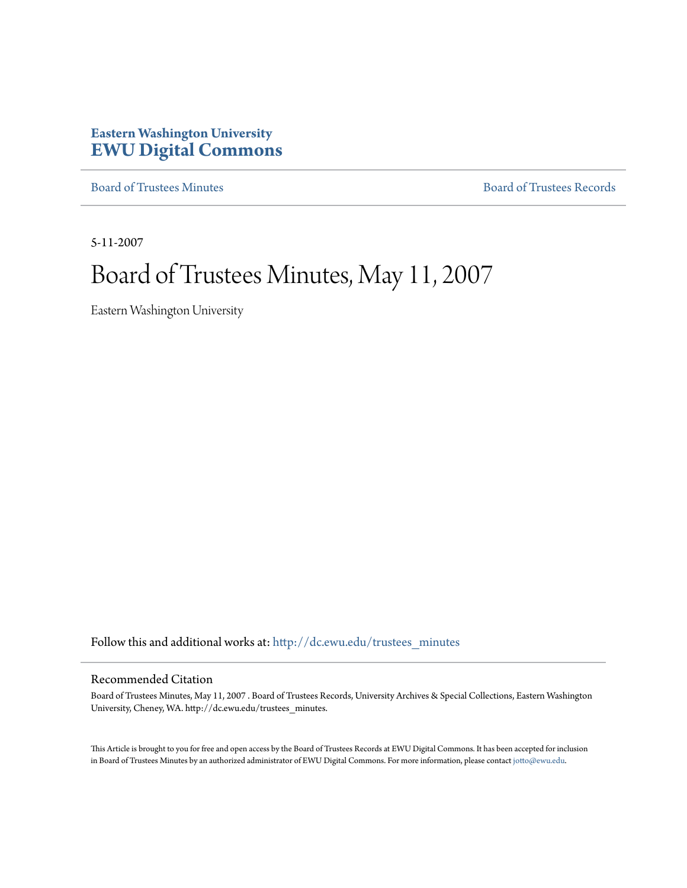# **Eastern Washington University [EWU Digital Commons](http://dc.ewu.edu?utm_source=dc.ewu.edu%2Ftrustees_minutes%2F640&utm_medium=PDF&utm_campaign=PDFCoverPages)**

[Board of Trustees Minutes](http://dc.ewu.edu/trustees_minutes?utm_source=dc.ewu.edu%2Ftrustees_minutes%2F640&utm_medium=PDF&utm_campaign=PDFCoverPages) [Board of Trustees Records](http://dc.ewu.edu/trustees?utm_source=dc.ewu.edu%2Ftrustees_minutes%2F640&utm_medium=PDF&utm_campaign=PDFCoverPages)

5-11-2007

# Board of Trustees Minutes, May 11, 2007

Eastern Washington University

Follow this and additional works at: [http://dc.ewu.edu/trustees\\_minutes](http://dc.ewu.edu/trustees_minutes?utm_source=dc.ewu.edu%2Ftrustees_minutes%2F640&utm_medium=PDF&utm_campaign=PDFCoverPages)

#### Recommended Citation

Board of Trustees Minutes, May 11, 2007 . Board of Trustees Records, University Archives & Special Collections, Eastern Washington University, Cheney, WA. http://dc.ewu.edu/trustees\_minutes.

This Article is brought to you for free and open access by the Board of Trustees Records at EWU Digital Commons. It has been accepted for inclusion in Board of Trustees Minutes by an authorized administrator of EWU Digital Commons. For more information, please contact [jotto@ewu.edu.](mailto:jotto@ewu.edu)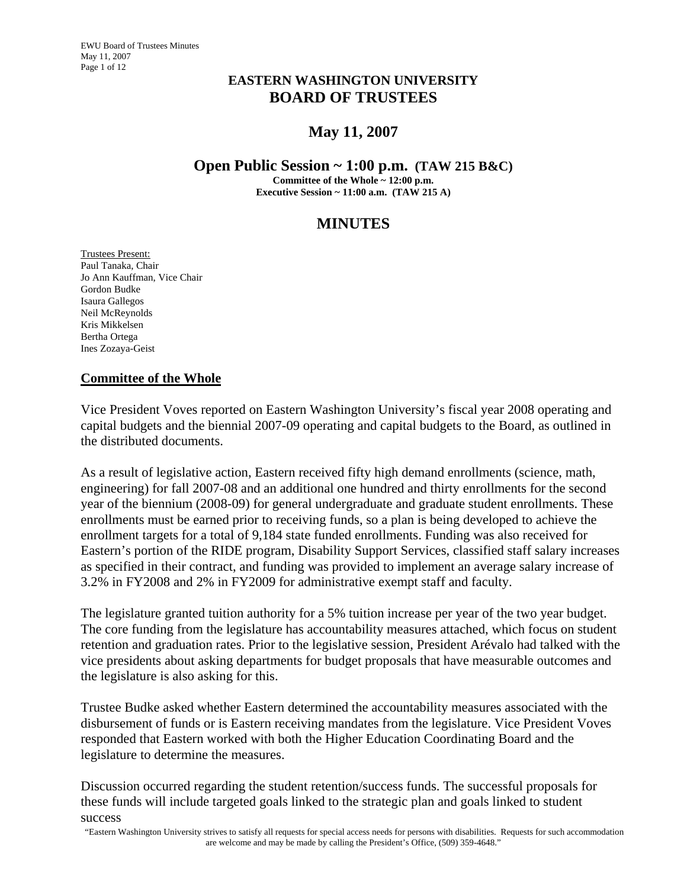# **EASTERN WASHINGTON UNIVERSITY BOARD OF TRUSTEES**

# **May 11, 2007**

#### **Open Public Session ~ 1:00 p.m. (TAW 215 B&C)**

**Committee of the Whole ~ 12:00 p.m.** 

**Executive Session ~ 11:00 a.m. (TAW 215 A)** 

# **MINUTES**

Trustees Present: Paul Tanaka, Chair Jo Ann Kauffman, Vice Chair Gordon Budke Isaura Gallegos Neil McReynolds Kris Mikkelsen Bertha Ortega Ines Zozaya-Geist

#### **Committee of the Whole**

Vice President Voves reported on Eastern Washington University's fiscal year 2008 operating and capital budgets and the biennial 2007-09 operating and capital budgets to the Board, as outlined in the distributed documents.

As a result of legislative action, Eastern received fifty high demand enrollments (science, math, engineering) for fall 2007-08 and an additional one hundred and thirty enrollments for the second year of the biennium (2008-09) for general undergraduate and graduate student enrollments. These enrollments must be earned prior to receiving funds, so a plan is being developed to achieve the enrollment targets for a total of 9,184 state funded enrollments. Funding was also received for Eastern's portion of the RIDE program, Disability Support Services, classified staff salary increases as specified in their contract, and funding was provided to implement an average salary increase of 3.2% in FY2008 and 2% in FY2009 for administrative exempt staff and faculty.

The legislature granted tuition authority for a 5% tuition increase per year of the two year budget. The core funding from the legislature has accountability measures attached, which focus on student retention and graduation rates. Prior to the legislative session, President Arévalo had talked with the vice presidents about asking departments for budget proposals that have measurable outcomes and the legislature is also asking for this.

Trustee Budke asked whether Eastern determined the accountability measures associated with the disbursement of funds or is Eastern receiving mandates from the legislature. Vice President Voves responded that Eastern worked with both the Higher Education Coordinating Board and the legislature to determine the measures.

Discussion occurred regarding the student retention/success funds. The successful proposals for these funds will include targeted goals linked to the strategic plan and goals linked to student success

 "Eastern Washington University strives to satisfy all requests for special access needs for persons with disabilities. Requests for such accommodation are welcome and may be made by calling the President's Office, (509) 359-4648."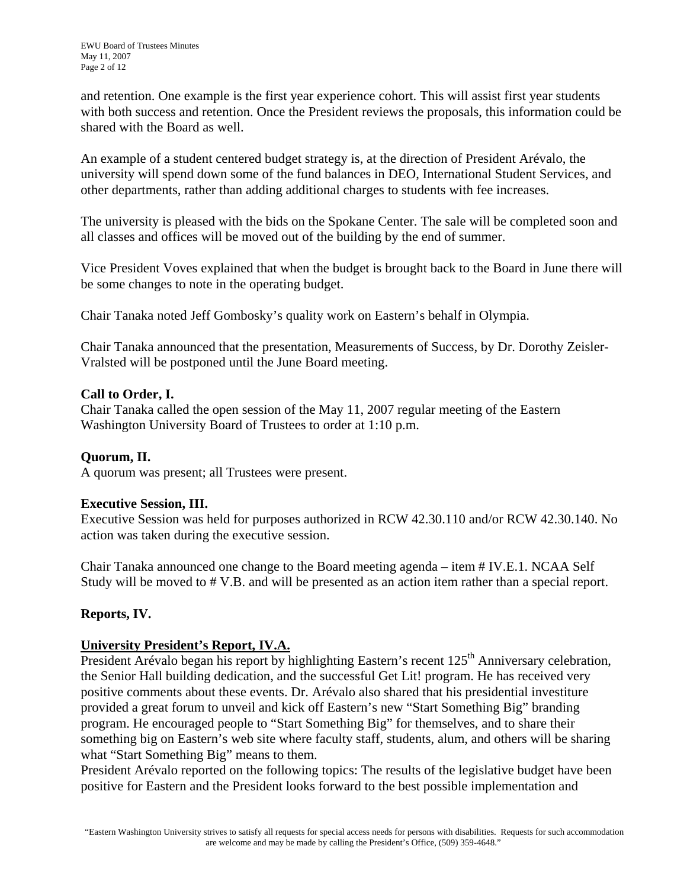and retention. One example is the first year experience cohort. This will assist first year students with both success and retention. Once the President reviews the proposals, this information could be shared with the Board as well.

An example of a student centered budget strategy is, at the direction of President Arévalo, the university will spend down some of the fund balances in DEO, International Student Services, and other departments, rather than adding additional charges to students with fee increases.

The university is pleased with the bids on the Spokane Center. The sale will be completed soon and all classes and offices will be moved out of the building by the end of summer.

Vice President Voves explained that when the budget is brought back to the Board in June there will be some changes to note in the operating budget.

Chair Tanaka noted Jeff Gombosky's quality work on Eastern's behalf in Olympia.

Chair Tanaka announced that the presentation, Measurements of Success, by Dr. Dorothy Zeisler-Vralsted will be postponed until the June Board meeting.

## **Call to Order, I.**

Chair Tanaka called the open session of the May 11, 2007 regular meeting of the Eastern Washington University Board of Trustees to order at 1:10 p.m.

# **Quorum, II.**

A quorum was present; all Trustees were present.

## **Executive Session, III.**

Executive Session was held for purposes authorized in RCW 42.30.110 and/or RCW 42.30.140. No action was taken during the executive session.

Chair Tanaka announced one change to the Board meeting agenda – item # IV.E.1. NCAA Self Study will be moved to # V.B. and will be presented as an action item rather than a special report.

## **Reports, IV.**

## **University President's Report, IV.A.**

President Arévalo began his report by highlighting Eastern's recent 125<sup>th</sup> Anniversary celebration, the Senior Hall building dedication, and the successful Get Lit! program. He has received very positive comments about these events. Dr. Arévalo also shared that his presidential investiture provided a great forum to unveil and kick off Eastern's new "Start Something Big" branding program. He encouraged people to "Start Something Big" for themselves, and to share their something big on Eastern's web site where faculty staff, students, alum, and others will be sharing what "Start Something Big" means to them.

President Arévalo reported on the following topics: The results of the legislative budget have been positive for Eastern and the President looks forward to the best possible implementation and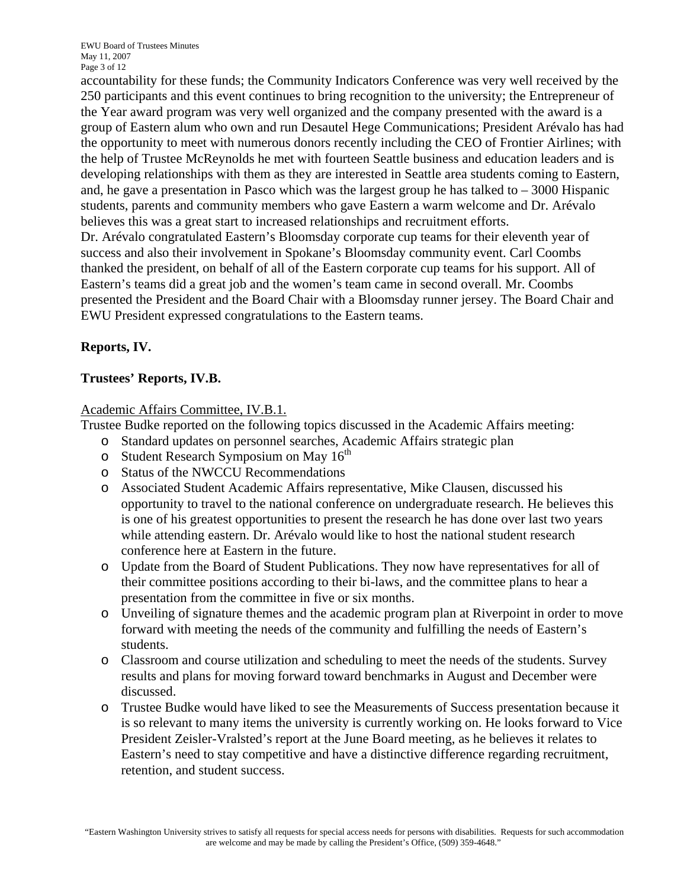accountability for these funds; the Community Indicators Conference was very well received by the 250 participants and this event continues to bring recognition to the university; the Entrepreneur of the Year award program was very well organized and the company presented with the award is a group of Eastern alum who own and run Desautel Hege Communications; President Arévalo has had the opportunity to meet with numerous donors recently including the CEO of Frontier Airlines; with the help of Trustee McReynolds he met with fourteen Seattle business and education leaders and is developing relationships with them as they are interested in Seattle area students coming to Eastern, and, he gave a presentation in Pasco which was the largest group he has talked to  $-3000$  Hispanic students, parents and community members who gave Eastern a warm welcome and Dr. Arévalo believes this was a great start to increased relationships and recruitment efforts.

Dr. Arévalo congratulated Eastern's Bloomsday corporate cup teams for their eleventh year of success and also their involvement in Spokane's Bloomsday community event. Carl Coombs thanked the president, on behalf of all of the Eastern corporate cup teams for his support. All of Eastern's teams did a great job and the women's team came in second overall. Mr. Coombs presented the President and the Board Chair with a Bloomsday runner jersey. The Board Chair and EWU President expressed congratulations to the Eastern teams.

# **Reports, IV.**

# **Trustees' Reports, IV.B.**

## Academic Affairs Committee, IV.B.1.

Trustee Budke reported on the following topics discussed in the Academic Affairs meeting:

- o Standard updates on personnel searches, Academic Affairs strategic plan
- o Student Research Symposium on May  $16<sup>th</sup>$
- o Status of the NWCCU Recommendations
- o Associated Student Academic Affairs representative, Mike Clausen, discussed his opportunity to travel to the national conference on undergraduate research. He believes this is one of his greatest opportunities to present the research he has done over last two years while attending eastern. Dr. Arévalo would like to host the national student research conference here at Eastern in the future.
- o Update from the Board of Student Publications. They now have representatives for all of their committee positions according to their bi-laws, and the committee plans to hear a presentation from the committee in five or six months.
- o Unveiling of signature themes and the academic program plan at Riverpoint in order to move forward with meeting the needs of the community and fulfilling the needs of Eastern's students.
- o Classroom and course utilization and scheduling to meet the needs of the students. Survey results and plans for moving forward toward benchmarks in August and December were discussed.
- o Trustee Budke would have liked to see the Measurements of Success presentation because it is so relevant to many items the university is currently working on. He looks forward to Vice President Zeisler-Vralsted's report at the June Board meeting, as he believes it relates to Eastern's need to stay competitive and have a distinctive difference regarding recruitment, retention, and student success.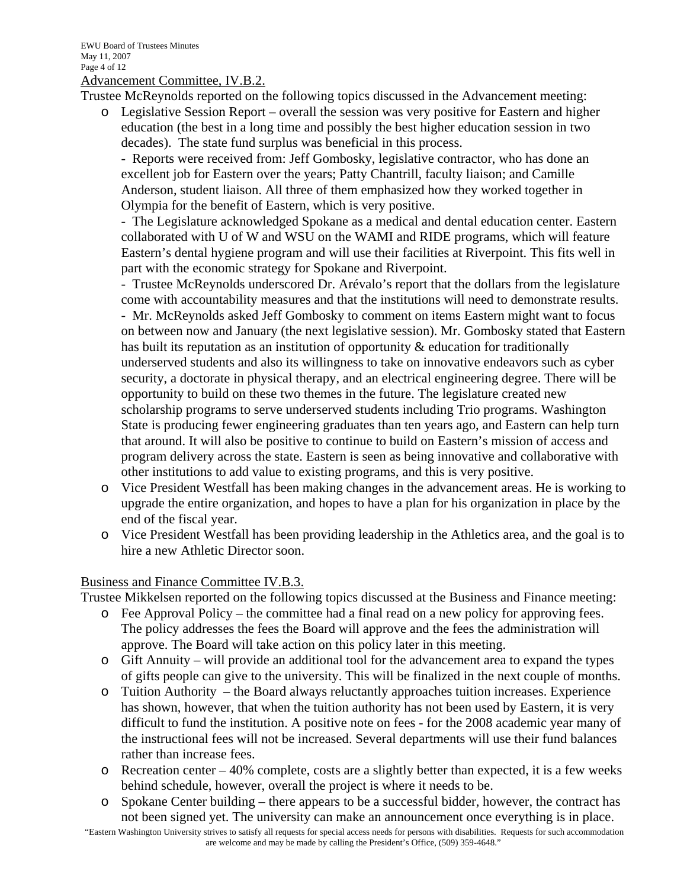Advancement Committee, IV.B.2.

Trustee McReynolds reported on the following topics discussed in the Advancement meeting:

o Legislative Session Report – overall the session was very positive for Eastern and higher education (the best in a long time and possibly the best higher education session in two decades). The state fund surplus was beneficial in this process.

- Reports were received from: Jeff Gombosky, legislative contractor, who has done an excellent job for Eastern over the years; Patty Chantrill, faculty liaison; and Camille Anderson, student liaison. All three of them emphasized how they worked together in Olympia for the benefit of Eastern, which is very positive.

- The Legislature acknowledged Spokane as a medical and dental education center. Eastern collaborated with U of W and WSU on the WAMI and RIDE programs, which will feature Eastern's dental hygiene program and will use their facilities at Riverpoint. This fits well in part with the economic strategy for Spokane and Riverpoint.

- Trustee McReynolds underscored Dr. Arévalo's report that the dollars from the legislature come with accountability measures and that the institutions will need to demonstrate results. - Mr. McReynolds asked Jeff Gombosky to comment on items Eastern might want to focus on between now and January (the next legislative session). Mr. Gombosky stated that Eastern has built its reputation as an institution of opportunity & education for traditionally underserved students and also its willingness to take on innovative endeavors such as cyber security, a doctorate in physical therapy, and an electrical engineering degree. There will be opportunity to build on these two themes in the future. The legislature created new scholarship programs to serve underserved students including Trio programs. Washington State is producing fewer engineering graduates than ten years ago, and Eastern can help turn that around. It will also be positive to continue to build on Eastern's mission of access and program delivery across the state. Eastern is seen as being innovative and collaborative with other institutions to add value to existing programs, and this is very positive.

- o Vice President Westfall has been making changes in the advancement areas. He is working to upgrade the entire organization, and hopes to have a plan for his organization in place by the end of the fiscal year.
- o Vice President Westfall has been providing leadership in the Athletics area, and the goal is to hire a new Athletic Director soon.

#### Business and Finance Committee IV.B.3.

Trustee Mikkelsen reported on the following topics discussed at the Business and Finance meeting:

- o Fee Approval Policy the committee had a final read on a new policy for approving fees. The policy addresses the fees the Board will approve and the fees the administration will approve. The Board will take action on this policy later in this meeting.
- o Gift Annuity will provide an additional tool for the advancement area to expand the types of gifts people can give to the university. This will be finalized in the next couple of months.
- o Tuition Authority the Board always reluctantly approaches tuition increases. Experience has shown, however, that when the tuition authority has not been used by Eastern, it is very difficult to fund the institution. A positive note on fees - for the 2008 academic year many of the instructional fees will not be increased. Several departments will use their fund balances rather than increase fees.
- o Recreation center 40% complete, costs are a slightly better than expected, it is a few weeks behind schedule, however, overall the project is where it needs to be.
- o Spokane Center building there appears to be a successful bidder, however, the contract has not been signed yet. The university can make an announcement once everything is in place.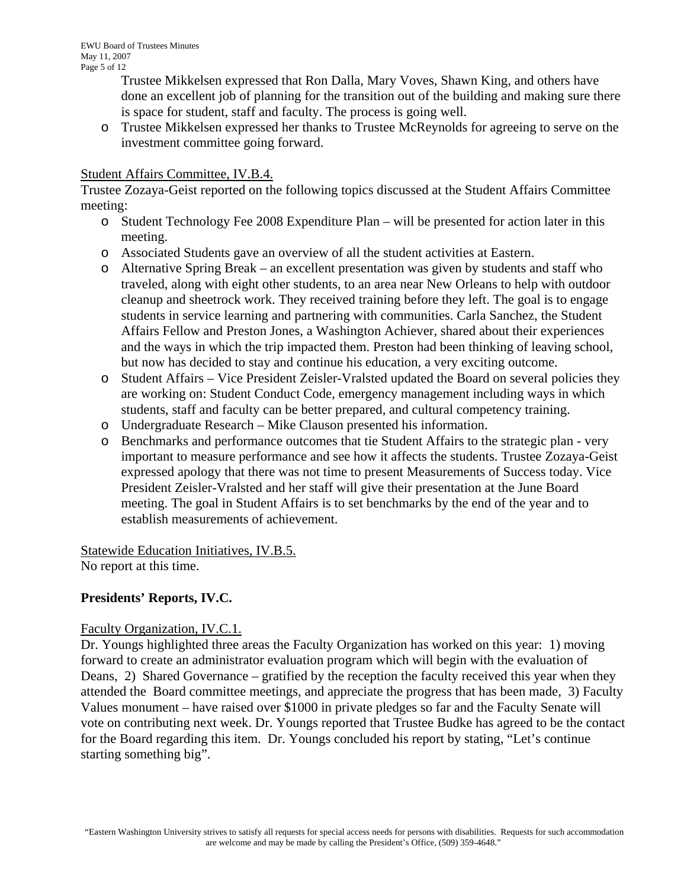Trustee Mikkelsen expressed that Ron Dalla, Mary Voves, Shawn King, and others have done an excellent job of planning for the transition out of the building and making sure there is space for student, staff and faculty. The process is going well.

o Trustee Mikkelsen expressed her thanks to Trustee McReynolds for agreeing to serve on the investment committee going forward.

#### Student Affairs Committee, IV.B.4.

Trustee Zozaya-Geist reported on the following topics discussed at the Student Affairs Committee meeting:

- o Student Technology Fee 2008 Expenditure Plan will be presented for action later in this meeting.
- o Associated Students gave an overview of all the student activities at Eastern.
- o Alternative Spring Break an excellent presentation was given by students and staff who traveled, along with eight other students, to an area near New Orleans to help with outdoor cleanup and sheetrock work. They received training before they left. The goal is to engage students in service learning and partnering with communities. Carla Sanchez, the Student Affairs Fellow and Preston Jones, a Washington Achiever, shared about their experiences and the ways in which the trip impacted them. Preston had been thinking of leaving school, but now has decided to stay and continue his education, a very exciting outcome.
- o Student Affairs Vice President Zeisler-Vralsted updated the Board on several policies they are working on: Student Conduct Code, emergency management including ways in which students, staff and faculty can be better prepared, and cultural competency training.
- o Undergraduate Research Mike Clauson presented his information.
- o Benchmarks and performance outcomes that tie Student Affairs to the strategic plan very important to measure performance and see how it affects the students. Trustee Zozaya-Geist expressed apology that there was not time to present Measurements of Success today. Vice President Zeisler-Vralsted and her staff will give their presentation at the June Board meeting. The goal in Student Affairs is to set benchmarks by the end of the year and to establish measurements of achievement.

Statewide Education Initiatives, IV.B.5. No report at this time.

## **Presidents' Reports, IV.C.**

#### Faculty Organization, IV.C.1.

Dr. Youngs highlighted three areas the Faculty Organization has worked on this year: 1) moving forward to create an administrator evaluation program which will begin with the evaluation of Deans, 2) Shared Governance – gratified by the reception the faculty received this year when they attended the Board committee meetings, and appreciate the progress that has been made, 3) Faculty Values monument – have raised over \$1000 in private pledges so far and the Faculty Senate will vote on contributing next week. Dr. Youngs reported that Trustee Budke has agreed to be the contact for the Board regarding this item. Dr. Youngs concluded his report by stating, "Let's continue starting something big".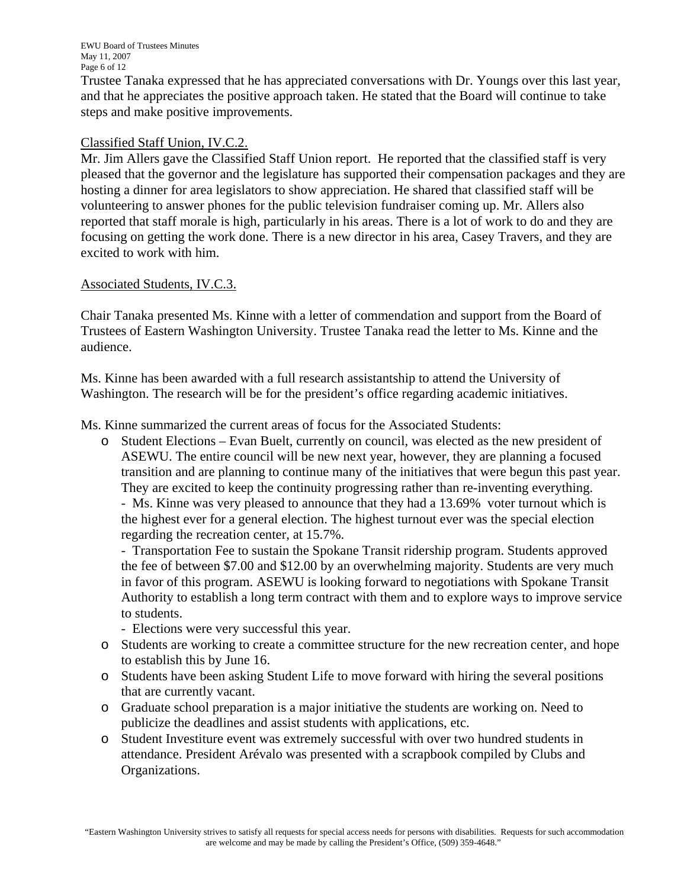Trustee Tanaka expressed that he has appreciated conversations with Dr. Youngs over this last year, and that he appreciates the positive approach taken. He stated that the Board will continue to take steps and make positive improvements.

#### Classified Staff Union, IV.C.2.

Mr. Jim Allers gave the Classified Staff Union report. He reported that the classified staff is very pleased that the governor and the legislature has supported their compensation packages and they are hosting a dinner for area legislators to show appreciation. He shared that classified staff will be volunteering to answer phones for the public television fundraiser coming up. Mr. Allers also reported that staff morale is high, particularly in his areas. There is a lot of work to do and they are focusing on getting the work done. There is a new director in his area, Casey Travers, and they are excited to work with him.

#### Associated Students, IV.C.3.

Chair Tanaka presented Ms. Kinne with a letter of commendation and support from the Board of Trustees of Eastern Washington University. Trustee Tanaka read the letter to Ms. Kinne and the audience.

Ms. Kinne has been awarded with a full research assistantship to attend the University of Washington. The research will be for the president's office regarding academic initiatives.

Ms. Kinne summarized the current areas of focus for the Associated Students:

o Student Elections – Evan Buelt, currently on council, was elected as the new president of ASEWU. The entire council will be new next year, however, they are planning a focused transition and are planning to continue many of the initiatives that were begun this past year. They are excited to keep the continuity progressing rather than re-inventing everything. - Ms. Kinne was very pleased to announce that they had a 13.69% voter turnout which is the highest ever for a general election. The highest turnout ever was the special election

regarding the recreation center, at 15.7%.

- Transportation Fee to sustain the Spokane Transit ridership program. Students approved the fee of between \$7.00 and \$12.00 by an overwhelming majority. Students are very much in favor of this program. ASEWU is looking forward to negotiations with Spokane Transit Authority to establish a long term contract with them and to explore ways to improve service to students.

- Elections were very successful this year.

- o Students are working to create a committee structure for the new recreation center, and hope to establish this by June 16.
- o Students have been asking Student Life to move forward with hiring the several positions that are currently vacant.
- o Graduate school preparation is a major initiative the students are working on. Need to publicize the deadlines and assist students with applications, etc.
- o Student Investiture event was extremely successful with over two hundred students in attendance. President Arévalo was presented with a scrapbook compiled by Clubs and Organizations.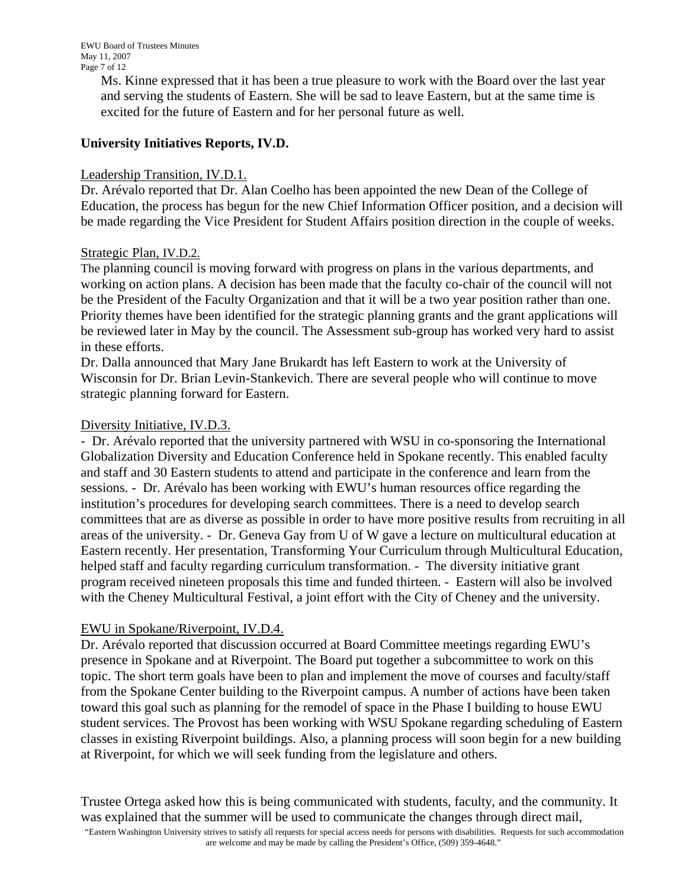Ms. Kinne expressed that it has been a true pleasure to work with the Board over the last year and serving the students of Eastern. She will be sad to leave Eastern, but at the same time is excited for the future of Eastern and for her personal future as well.

# **University Initiatives Reports, IV.D.**

#### Leadership Transition, IV.D.1.

Dr. Arévalo reported that Dr. Alan Coelho has been appointed the new Dean of the College of Education, the process has begun for the new Chief Information Officer position, and a decision will be made regarding the Vice President for Student Affairs position direction in the couple of weeks.

#### Strategic Plan, IV.D.2.

The planning council is moving forward with progress on plans in the various departments, and working on action plans. A decision has been made that the faculty co-chair of the council will not be the President of the Faculty Organization and that it will be a two year position rather than one. Priority themes have been identified for the strategic planning grants and the grant applications will be reviewed later in May by the council. The Assessment sub-group has worked very hard to assist in these efforts.

Dr. Dalla announced that Mary Jane Brukardt has left Eastern to work at the University of Wisconsin for Dr. Brian Levin-Stankevich. There are several people who will continue to move strategic planning forward for Eastern.

#### Diversity Initiative, IV.D.3.

- Dr. Arévalo reported that the university partnered with WSU in co-sponsoring the International Globalization Diversity and Education Conference held in Spokane recently. This enabled faculty and staff and 30 Eastern students to attend and participate in the conference and learn from the sessions. - Dr. Arévalo has been working with EWU's human resources office regarding the institution's procedures for developing search committees. There is a need to develop search committees that are as diverse as possible in order to have more positive results from recruiting in all areas of the university. - Dr. Geneva Gay from U of W gave a lecture on multicultural education at Eastern recently. Her presentation, Transforming Your Curriculum through Multicultural Education, helped staff and faculty regarding curriculum transformation. - The diversity initiative grant program received nineteen proposals this time and funded thirteen. - Eastern will also be involved with the Cheney Multicultural Festival, a joint effort with the City of Cheney and the university.

## EWU in Spokane/Riverpoint, IV.D.4.

Dr. Arévalo reported that discussion occurred at Board Committee meetings regarding EWU's presence in Spokane and at Riverpoint. The Board put together a subcommittee to work on this topic. The short term goals have been to plan and implement the move of courses and faculty/staff from the Spokane Center building to the Riverpoint campus. A number of actions have been taken toward this goal such as planning for the remodel of space in the Phase I building to house EWU student services. The Provost has been working with WSU Spokane regarding scheduling of Eastern classes in existing Riverpoint buildings. Also, a planning process will soon begin for a new building at Riverpoint, for which we will seek funding from the legislature and others.

Trustee Ortega asked how this is being communicated with students, faculty, and the community. It was explained that the summer will be used to communicate the changes through direct mail,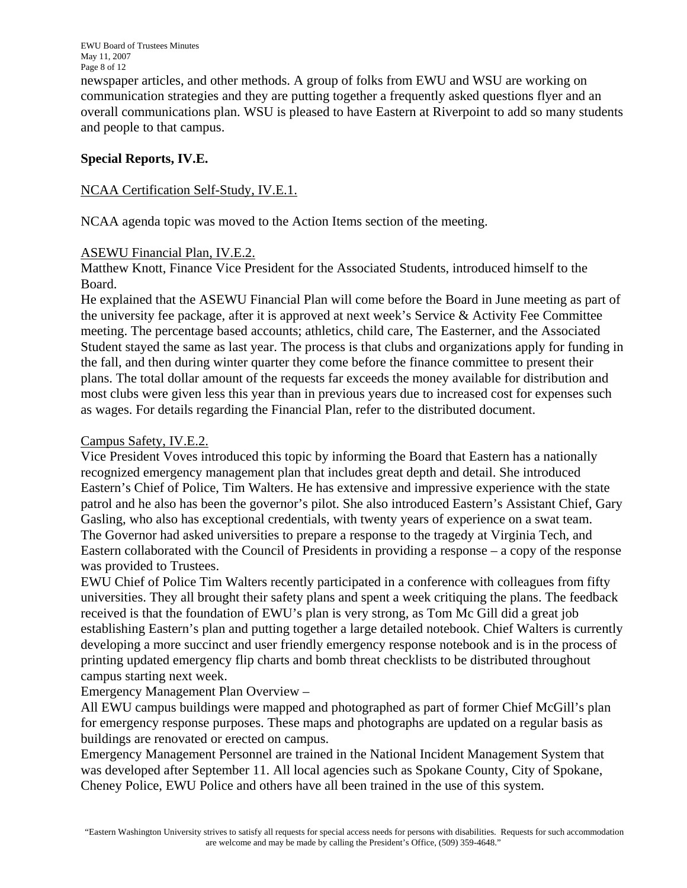newspaper articles, and other methods. A group of folks from EWU and WSU are working on communication strategies and they are putting together a frequently asked questions flyer and an overall communications plan. WSU is pleased to have Eastern at Riverpoint to add so many students and people to that campus.

## **Special Reports, IV.E.**

#### NCAA Certification Self-Study, IV.E.1.

NCAA agenda topic was moved to the Action Items section of the meeting.

#### ASEWU Financial Plan, IV.E.2.

Matthew Knott, Finance Vice President for the Associated Students, introduced himself to the Board.

He explained that the ASEWU Financial Plan will come before the Board in June meeting as part of the university fee package, after it is approved at next week's Service & Activity Fee Committee meeting. The percentage based accounts; athletics, child care, The Easterner, and the Associated Student stayed the same as last year. The process is that clubs and organizations apply for funding in the fall, and then during winter quarter they come before the finance committee to present their plans. The total dollar amount of the requests far exceeds the money available for distribution and most clubs were given less this year than in previous years due to increased cost for expenses such as wages. For details regarding the Financial Plan, refer to the distributed document.

#### Campus Safety, IV.E.2.

Vice President Voves introduced this topic by informing the Board that Eastern has a nationally recognized emergency management plan that includes great depth and detail. She introduced Eastern's Chief of Police, Tim Walters. He has extensive and impressive experience with the state patrol and he also has been the governor's pilot. She also introduced Eastern's Assistant Chief, Gary Gasling, who also has exceptional credentials, with twenty years of experience on a swat team. The Governor had asked universities to prepare a response to the tragedy at Virginia Tech, and Eastern collaborated with the Council of Presidents in providing a response – a copy of the response was provided to Trustees.

EWU Chief of Police Tim Walters recently participated in a conference with colleagues from fifty universities. They all brought their safety plans and spent a week critiquing the plans. The feedback received is that the foundation of EWU's plan is very strong, as Tom Mc Gill did a great job establishing Eastern's plan and putting together a large detailed notebook. Chief Walters is currently developing a more succinct and user friendly emergency response notebook and is in the process of printing updated emergency flip charts and bomb threat checklists to be distributed throughout campus starting next week.

Emergency Management Plan Overview –

All EWU campus buildings were mapped and photographed as part of former Chief McGill's plan for emergency response purposes. These maps and photographs are updated on a regular basis as buildings are renovated or erected on campus.

Emergency Management Personnel are trained in the National Incident Management System that was developed after September 11. All local agencies such as Spokane County, City of Spokane, Cheney Police, EWU Police and others have all been trained in the use of this system.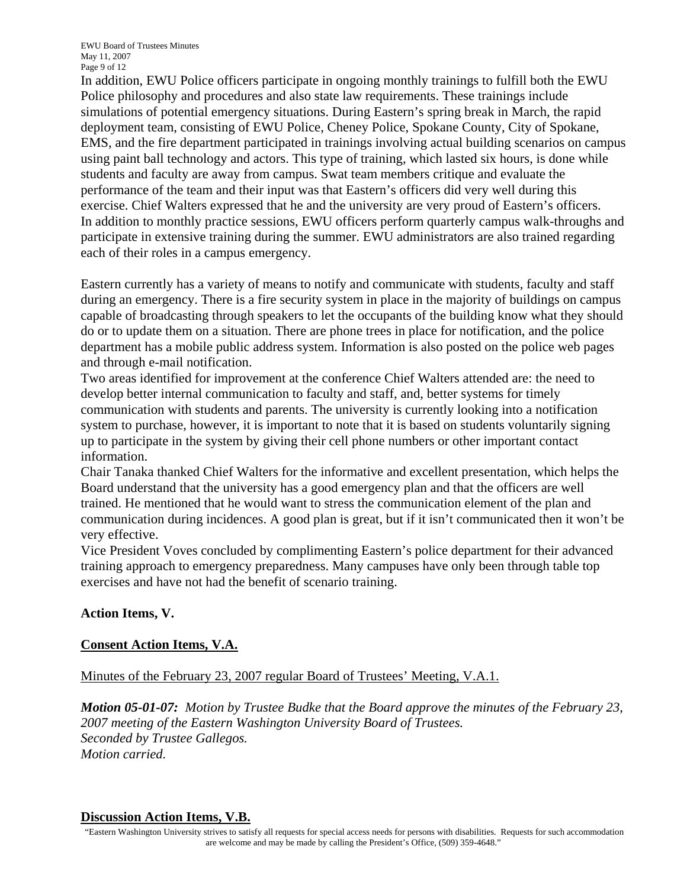In addition, EWU Police officers participate in ongoing monthly trainings to fulfill both the EWU Police philosophy and procedures and also state law requirements. These trainings include simulations of potential emergency situations. During Eastern's spring break in March, the rapid deployment team, consisting of EWU Police, Cheney Police, Spokane County, City of Spokane, EMS, and the fire department participated in trainings involving actual building scenarios on campus using paint ball technology and actors. This type of training, which lasted six hours, is done while students and faculty are away from campus. Swat team members critique and evaluate the performance of the team and their input was that Eastern's officers did very well during this exercise. Chief Walters expressed that he and the university are very proud of Eastern's officers. In addition to monthly practice sessions, EWU officers perform quarterly campus walk-throughs and participate in extensive training during the summer. EWU administrators are also trained regarding each of their roles in a campus emergency.

Eastern currently has a variety of means to notify and communicate with students, faculty and staff during an emergency. There is a fire security system in place in the majority of buildings on campus capable of broadcasting through speakers to let the occupants of the building know what they should do or to update them on a situation. There are phone trees in place for notification, and the police department has a mobile public address system. Information is also posted on the police web pages and through e-mail notification.

Two areas identified for improvement at the conference Chief Walters attended are: the need to develop better internal communication to faculty and staff, and, better systems for timely communication with students and parents. The university is currently looking into a notification system to purchase, however, it is important to note that it is based on students voluntarily signing up to participate in the system by giving their cell phone numbers or other important contact information.

Chair Tanaka thanked Chief Walters for the informative and excellent presentation, which helps the Board understand that the university has a good emergency plan and that the officers are well trained. He mentioned that he would want to stress the communication element of the plan and communication during incidences. A good plan is great, but if it isn't communicated then it won't be very effective.

Vice President Voves concluded by complimenting Eastern's police department for their advanced training approach to emergency preparedness. Many campuses have only been through table top exercises and have not had the benefit of scenario training.

# **Action Items, V.**

## **Consent Action Items, V.A.**

Minutes of the February 23, 2007 regular Board of Trustees' Meeting, V.A.1.

*Motion 05-01-07: Motion by Trustee Budke that the Board approve the minutes of the February 23, 2007 meeting of the Eastern Washington University Board of Trustees. Seconded by Trustee Gallegos. Motion carried.* 

#### **Discussion Action Items, V.B.**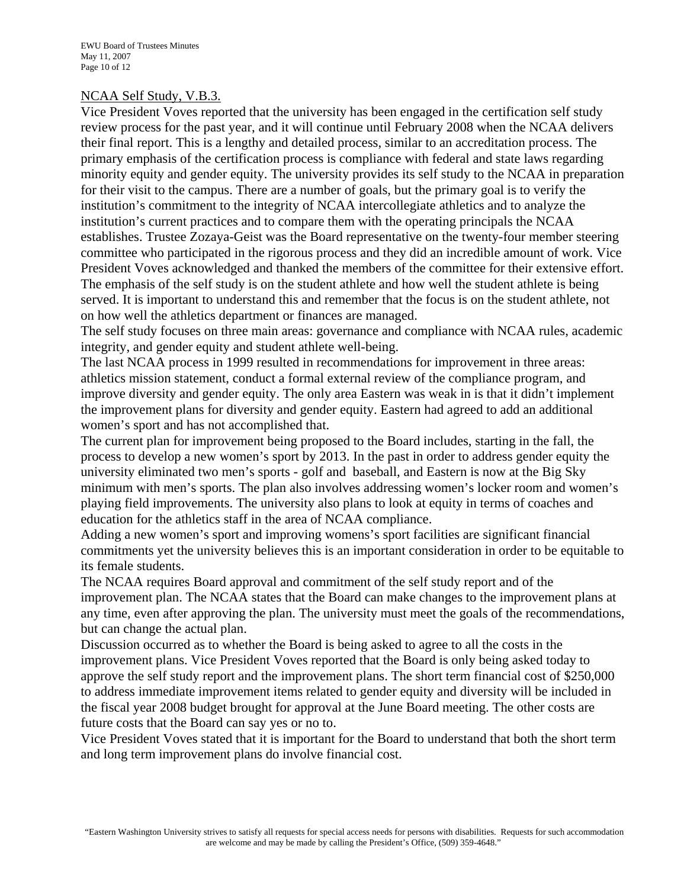#### NCAA Self Study, V.B.3.

Vice President Voves reported that the university has been engaged in the certification self study review process for the past year, and it will continue until February 2008 when the NCAA delivers their final report. This is a lengthy and detailed process, similar to an accreditation process. The primary emphasis of the certification process is compliance with federal and state laws regarding minority equity and gender equity. The university provides its self study to the NCAA in preparation for their visit to the campus. There are a number of goals, but the primary goal is to verify the institution's commitment to the integrity of NCAA intercollegiate athletics and to analyze the institution's current practices and to compare them with the operating principals the NCAA establishes. Trustee Zozaya-Geist was the Board representative on the twenty-four member steering committee who participated in the rigorous process and they did an incredible amount of work. Vice President Voves acknowledged and thanked the members of the committee for their extensive effort. The emphasis of the self study is on the student athlete and how well the student athlete is being served. It is important to understand this and remember that the focus is on the student athlete, not on how well the athletics department or finances are managed.

The self study focuses on three main areas: governance and compliance with NCAA rules, academic integrity, and gender equity and student athlete well-being.

The last NCAA process in 1999 resulted in recommendations for improvement in three areas: athletics mission statement, conduct a formal external review of the compliance program, and improve diversity and gender equity. The only area Eastern was weak in is that it didn't implement the improvement plans for diversity and gender equity. Eastern had agreed to add an additional women's sport and has not accomplished that.

The current plan for improvement being proposed to the Board includes, starting in the fall, the process to develop a new women's sport by 2013. In the past in order to address gender equity the university eliminated two men's sports - golf and baseball, and Eastern is now at the Big Sky minimum with men's sports. The plan also involves addressing women's locker room and women's playing field improvements. The university also plans to look at equity in terms of coaches and education for the athletics staff in the area of NCAA compliance.

Adding a new women's sport and improving womens's sport facilities are significant financial commitments yet the university believes this is an important consideration in order to be equitable to its female students.

The NCAA requires Board approval and commitment of the self study report and of the improvement plan. The NCAA states that the Board can make changes to the improvement plans at any time, even after approving the plan. The university must meet the goals of the recommendations, but can change the actual plan.

Discussion occurred as to whether the Board is being asked to agree to all the costs in the improvement plans. Vice President Voves reported that the Board is only being asked today to approve the self study report and the improvement plans. The short term financial cost of \$250,000 to address immediate improvement items related to gender equity and diversity will be included in the fiscal year 2008 budget brought for approval at the June Board meeting. The other costs are future costs that the Board can say yes or no to.

Vice President Voves stated that it is important for the Board to understand that both the short term and long term improvement plans do involve financial cost.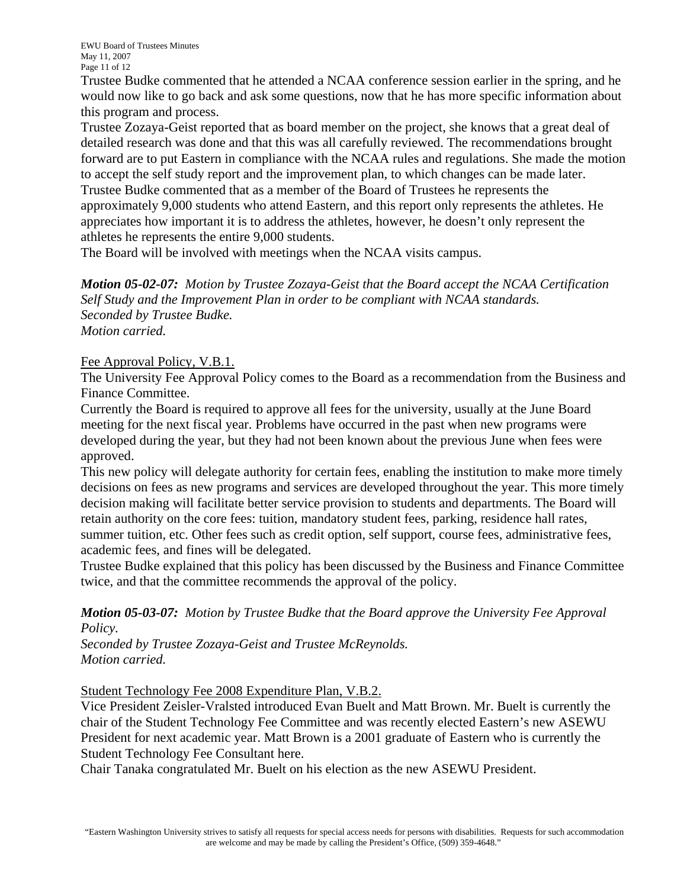Trustee Budke commented that he attended a NCAA conference session earlier in the spring, and he would now like to go back and ask some questions, now that he has more specific information about this program and process.

Trustee Zozaya-Geist reported that as board member on the project, she knows that a great deal of detailed research was done and that this was all carefully reviewed. The recommendations brought forward are to put Eastern in compliance with the NCAA rules and regulations. She made the motion to accept the self study report and the improvement plan, to which changes can be made later. Trustee Budke commented that as a member of the Board of Trustees he represents the approximately 9,000 students who attend Eastern, and this report only represents the athletes. He appreciates how important it is to address the athletes, however, he doesn't only represent the athletes he represents the entire 9,000 students.

The Board will be involved with meetings when the NCAA visits campus.

*Motion 05-02-07: Motion by Trustee Zozaya-Geist that the Board accept the NCAA Certification Self Study and the Improvement Plan in order to be compliant with NCAA standards. Seconded by Trustee Budke. Motion carried.* 

## Fee Approval Policy, V.B.1.

The University Fee Approval Policy comes to the Board as a recommendation from the Business and Finance Committee.

Currently the Board is required to approve all fees for the university, usually at the June Board meeting for the next fiscal year. Problems have occurred in the past when new programs were developed during the year, but they had not been known about the previous June when fees were approved.

This new policy will delegate authority for certain fees, enabling the institution to make more timely decisions on fees as new programs and services are developed throughout the year. This more timely decision making will facilitate better service provision to students and departments. The Board will retain authority on the core fees: tuition, mandatory student fees, parking, residence hall rates, summer tuition, etc. Other fees such as credit option, self support, course fees, administrative fees, academic fees, and fines will be delegated.

Trustee Budke explained that this policy has been discussed by the Business and Finance Committee twice, and that the committee recommends the approval of the policy.

*Motion 05-03-07: Motion by Trustee Budke that the Board approve the University Fee Approval Policy.*

*Seconded by Trustee Zozaya-Geist and Trustee McReynolds. Motion carried.* 

Student Technology Fee 2008 Expenditure Plan, V.B.2.

Vice President Zeisler-Vralsted introduced Evan Buelt and Matt Brown. Mr. Buelt is currently the chair of the Student Technology Fee Committee and was recently elected Eastern's new ASEWU President for next academic year. Matt Brown is a 2001 graduate of Eastern who is currently the Student Technology Fee Consultant here.

Chair Tanaka congratulated Mr. Buelt on his election as the new ASEWU President.